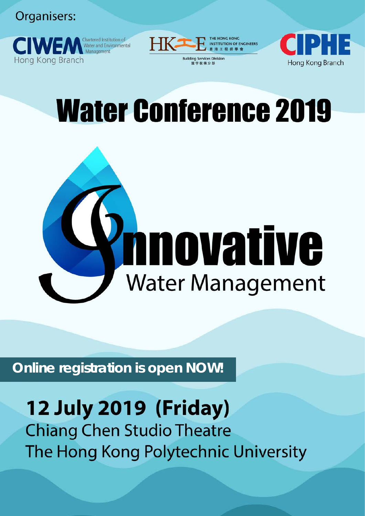Organisers:





Hong Kong Branch

# **Water Conference 2019**



Online registration is open NOW!

### **12 July 2019 (Friday) Chiang Chen Studio Theatre**

The Hong Kong Polytechnic University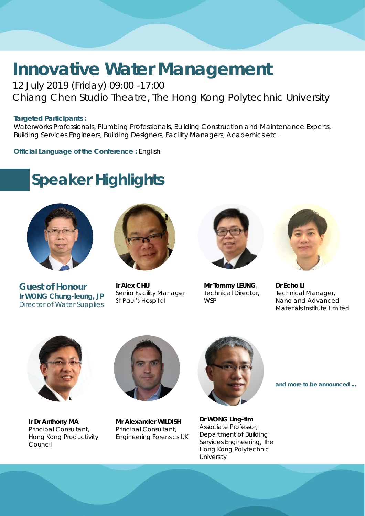#### **Innovative Water Management** 12 July 2019 (Friday) 09:00 -17:00

Chiang Chen Studio Theatre, The Hong Kong Polytechnic University

#### **Targeted Participants :**

Waterworks Professionals, Plumbing Professionals, Building Construction and Maintenance Experts, Building Services Engineers, Building Designers, Facility Managers, Academics etc.

**Official Language of the Conference :** English

#### **Speaker Highlights**



**Guest of Honour Ir WONG Chung-leung, JP** Director of Water Supplies



**Ir Alex CHU** Senior Facility Manager St Paul's Hospital



**Mr Tommy LEUNG**, Technical Director, **WSP** 



**Dr Echo LI** Technical Manager, Nano and Advanced Materials Institute Limited



**Ir Dr Anthony MA** Principal Consultant, Hong Kong Productivity Council



**Mr Alexander WILDISH** Principal Consultant, Engineering Forensics UK



**Dr WONG Ling-tim**  Associate Professor, Department of Building Services Engineering, The Hong Kong Polytechnic **University** 

**and more to be announced ...**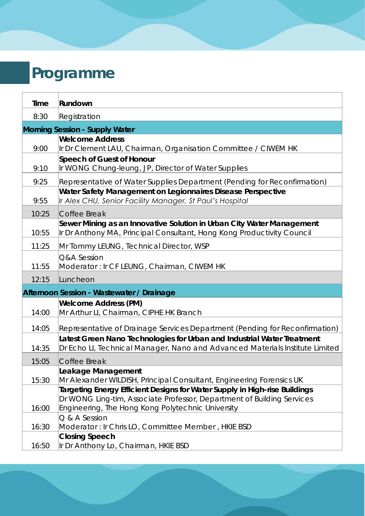## **Programme**

| Time                           | Rundown                                                                                                                                                                                                                                                                           |  |  |
|--------------------------------|-----------------------------------------------------------------------------------------------------------------------------------------------------------------------------------------------------------------------------------------------------------------------------------|--|--|
| 8:30                           | Registration                                                                                                                                                                                                                                                                      |  |  |
| Morning Session - Supply Water |                                                                                                                                                                                                                                                                                   |  |  |
|                                | <b>Welcome Address</b>                                                                                                                                                                                                                                                            |  |  |
| 9:00                           | Ir Dr Clement LAU, Chairman, Organisation Committee / CIWEM HK                                                                                                                                                                                                                    |  |  |
| 9:10                           | Speech of Guest of Honour<br>Ir WONG Chung-leung, JP, Director of Water Supplies                                                                                                                                                                                                  |  |  |
| 9:25                           | Representative of Water Supplies Department (Pending for Reconfirmation)                                                                                                                                                                                                          |  |  |
| 9:55                           | Water Safety Management on Legionnaires Disease Perspective<br>Ir Alex CHU, Senior Facility Manager, St Paul's Hospital                                                                                                                                                           |  |  |
| 10:25                          | Coffee Break                                                                                                                                                                                                                                                                      |  |  |
| 10:55                          | Sewer Mining as an Innovative Solution in Urban City Water Management<br>Ir Dr Anthony MA, Principal Consultant, Hong Kong Productivity Council                                                                                                                                   |  |  |
| 11:25                          | Mr Tommy LEUNG, Technical Director, WSP                                                                                                                                                                                                                                           |  |  |
| 11:55                          | Q&A Session<br>Moderator: Ir CF LEUNG, Chairman, CIWEM HK                                                                                                                                                                                                                         |  |  |
|                                |                                                                                                                                                                                                                                                                                   |  |  |
| 12:15                          | Luncheon                                                                                                                                                                                                                                                                          |  |  |
|                                | Afternoon Session - Wastewater / Drainage                                                                                                                                                                                                                                         |  |  |
|                                | Welcome Address (PM)                                                                                                                                                                                                                                                              |  |  |
| 14:00                          | Mr Arthur LI, Chairman, CIPHE HK Branch                                                                                                                                                                                                                                           |  |  |
| 14:05                          | Representative of Drainage Services Department (Pending for Reconfirmation)                                                                                                                                                                                                       |  |  |
| 14:35                          | Latest Green Nano Technologies for Urban and Industrial Water Treatment<br>Dr Echo LI, Technical Manager, Nano and Advanced Materials Institute Limited                                                                                                                           |  |  |
| 15:05                          | Coffee Break                                                                                                                                                                                                                                                                      |  |  |
|                                | Leakage Management                                                                                                                                                                                                                                                                |  |  |
| 15:30<br>16:00                 | Mr Alexander WILDISH, Principal Consultant, Engineering Forensics UK<br>Targeting Energy Efficient Designs for Water Supply in High-rise Buildings<br>Dr WONG Ling-tim, Associate Professor, Department of Building Services<br>Engineering, The Hong Kong Polytechnic University |  |  |
| 16:30                          | Q & A Session<br>Moderator: Ir Chris LO, Committee Member, HKIE BSD                                                                                                                                                                                                               |  |  |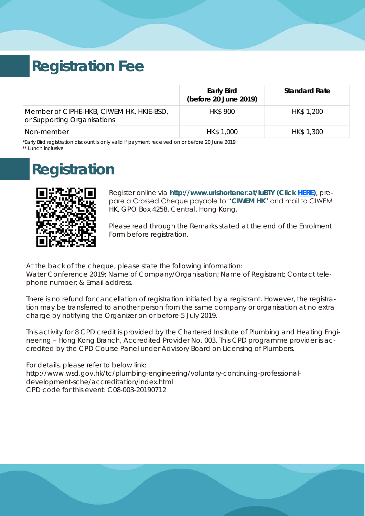#### **Registration Fee**

|                                                                         | Early Bird<br>(before 20 June 2019) | <b>Standard Rate</b> |
|-------------------------------------------------------------------------|-------------------------------------|----------------------|
| Member of CIPHE-HKB, CIWEM HK, HKIE-BSD,<br>or Supporting Organisations | <b>HK\$900</b>                      | HK\$ 1,200           |
| Non-member                                                              | HK\$ 1,000                          | HK\$ 1,300           |

*\*Early Bird registration discount is only valid if payment received on or before 20 June 2019. \*\* Lunch inclusive* 

#### **Registration**



Register online via **http:/[/www.ur](https://docs.google.com/forms/d/1cTtobUNBw9dRy9Q-0p5_fKWlXwIti3JNr3u4Lx9kDPg/prefill)lshortener.at/luBTY (Click [HERE\)](https://docs.google.com/forms/d/e/1FAIpQLSdj5q6Eh87z_rrexYBCpIdHEHTHgAZJbdLbczt5VkpDplF_wQ/viewform)**, prepare a Crossed Cheque payable to "**CIWEM HK**" and mail to CIWEM HK, GPO Box 4258, Central, Hong Kong.

Please read through the Remarks stated at the end of the Enrolment Form before registration.

At the back of the cheque, please state the following information: Water Conference 2019; Name of Company/Organisation; Name of Registrant; Contact telephone number; & Email address.

There is no refund for cancellation of registration initiated by a registrant. However, the registration may be transferred to another person from the same company or organisation at no extra charge by notifying the Organizer on or before 5 July 2019.

This activity for 8 CPD credit is provided by the Chartered Institute of Plumbing and Heating Engineering – Hong Kong Branch, Accredited Provider No. 003. This CPD programme provider is accredited by the CPD Course Panel under Advisory Board on Licensing of Plumbers.

For details, please refer to below link: http://www.wsd.gov.hk/tc/plumbing-engineering/voluntary-continuing-professionaldevelopment-sche/accreditation/index.html CPD code for this event: C08-003-20190712